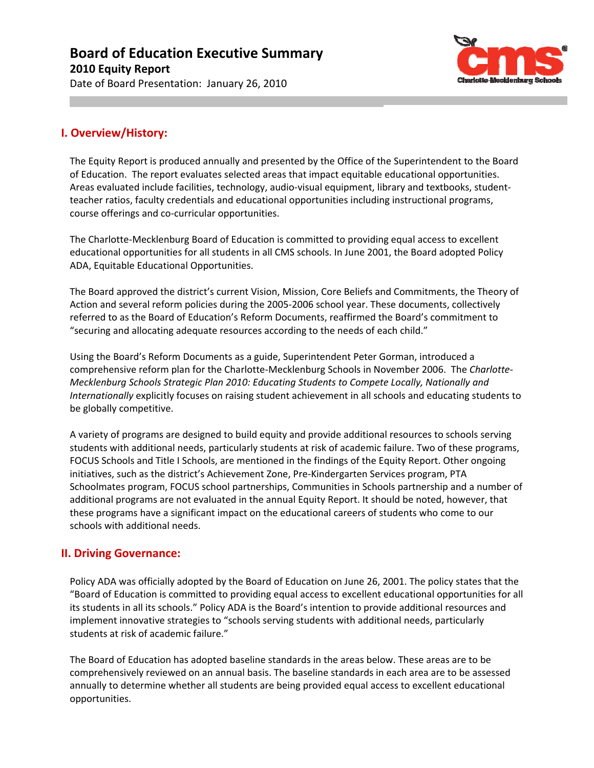Date of Board Presentation: January 26, 2010



## **I. Overview/History:**

The Equity Report is produced annually and presented by the Office of the Superintendent to the Board of Education. The report evaluates selected areas that impact equitable educational opportunities. Areas evaluated include facilities, technology, audio‐visual equipment, library and textbooks, student‐ teacher ratios, faculty credentials and educational opportunities including instructional programs, course offerings and co‐curricular opportunities.

The Charlotte‐Mecklenburg Board of Education is committed to providing equal access to excellent educational opportunities for all students in all CMS schools. In June 2001, the Board adopted Policy ADA, Equitable Educational Opportunities.

The Board approved the district's current Vision, Mission, Core Beliefs and Commitments, the Theory of Action and several reform policies during the 2005‐2006 school year. These documents, collectively referred to as the Board of Education's Reform Documents, reaffirmed the Board's commitment to "securing and allocating adequate resources according to the needs of each child."

Using the Board's Reform Documents as a guide, Superintendent Peter Gorman, introduced a comprehensive reform plan for the Charlotte‐Mecklenburg Schools in November 2006. The *Charlotte‐ Mecklenburg Schools Strategic Plan 2010: Educating Students to Compete Locally, Nationally and Internationally* explicitly focuses on raising student achievement in all schools and educating students to be globally competitive.

A variety of programs are designed to build equity and provide additional resources to schools serving students with additional needs, particularly students at risk of academic failure. Two of these programs, FOCUS Schools and Title I Schools, are mentioned in the findings of the Equity Report. Other ongoing initiatives, such as the district's Achievement Zone, Pre‐Kindergarten Services program, PTA Schoolmates program, FOCUS school partnerships, Communities in Schools partnership and a number of additional programs are not evaluated in the annual Equity Report. It should be noted, however, that these programs have a significant impact on the educational careers of students who come to our schools with additional needs.

## **II. Driving Governance:**

Policy ADA was officially adopted by the Board of Education on June 26, 2001. The policy states that the "Board of Education is committed to providing equal access to excellent educational opportunities for all its students in all its schools." Policy ADA is the Board's intention to provide additional resources and implement innovative strategies to "schools serving students with additional needs, particularly students at risk of academic failure."

The Board of Education has adopted baseline standards in the areas below. These areas are to be comprehensively reviewed on an annual basis. The baseline standards in each area are to be assessed annually to determine whether all students are being provided equal access to excellent educational opportunities.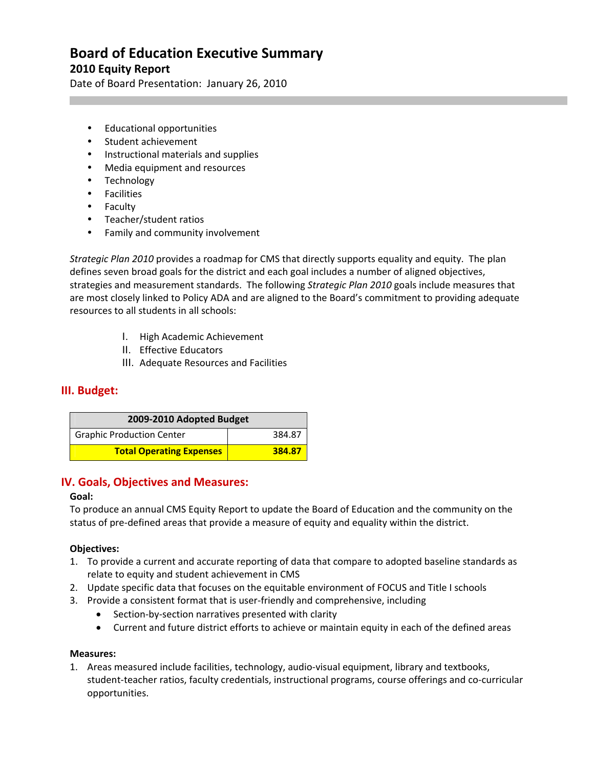Date of Board Presentation: January 26, 2010

- Educational opportunities
- Student achievement
- Instructional materials and supplies
- Media equipment and resources
- Technology
- **•** Facilities
- Faculty
- Teacher/student ratios
- Family and community involvement

*Strategic Plan 2010* provides a roadmap for CMS that directly supports equality and equity. The plan defines seven broad goals for the district and each goal includes a number of aligned objectives, strategies and measurement standards. The following *Strategic Plan 2010* goals include measures that are most closely linked to Policy ADA and are aligned to the Board's commitment to providing adequate resources to all students in all schools:

- I. High Academic Achievement
- II. Effective Educators
- III. Adequate Resources and Facilities

#### **III. Budget:**

| 2009-2010 Adopted Budget         |        |
|----------------------------------|--------|
| <b>Graphic Production Center</b> | 384.87 |
| <b>Total Operating Expenses</b>  | 384.87 |

#### **IV. Goals, Objectives and Measures:**

#### **Goal:**

To produce an annual CMS Equity Report to update the Board of Education and the community on the status of pre‐defined areas that provide a measure of equity and equality within the district.

#### **Objectives:**

- 1. To provide a current and accurate reporting of data that compare to adopted baseline standards as relate to equity and student achievement in CMS
- 2. Update specific data that focuses on the equitable environment of FOCUS and Title I schools
- 3. Provide a consistent format that is user‐friendly and comprehensive, including
	- Section-by-section narratives presented with clarity
	- Current and future district efforts to achieve or maintain equity in each of the defined areas

#### **Measures:**

1. Areas measured include facilities, technology, audio‐visual equipment, library and textbooks, student‐teacher ratios, faculty credentials, instructional programs, course offerings and co‐curricular opportunities.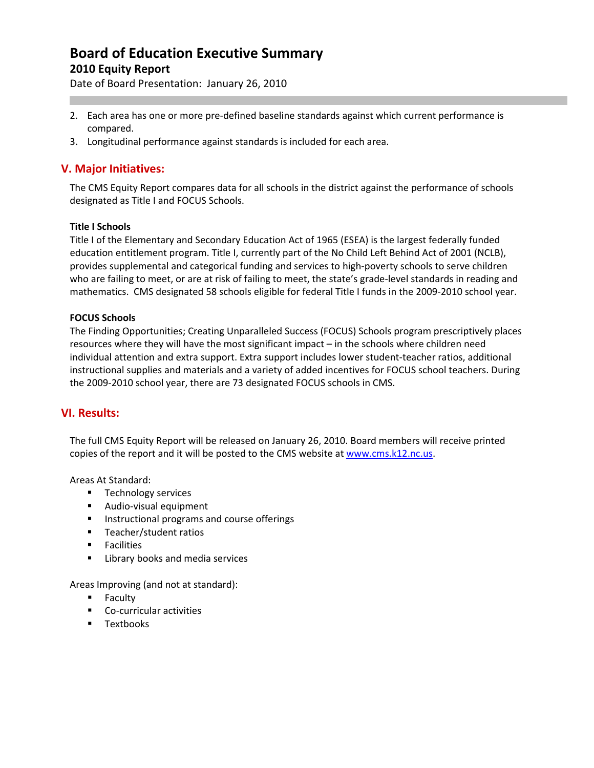Date of Board Presentation: January 26, 2010

- 2. Each area has one or more pre-defined baseline standards against which current performance is compared.
- 3. Longitudinal performance against standards is included for each area.

## **V. Major Initiatives:**

The CMS Equity Report compares data for all schools in the district against the performance of schools designated as Title I and FOCUS Schools.

#### **Title I Schools**

Title I of the Elementary and Secondary Education Act of 1965 (ESEA) is the largest federally funded education entitlement program. Title I, currently part of the No Child Left Behind Act of 2001 (NCLB), provides supplemental and categorical funding and services to high‐poverty schools to serve children who are failing to meet, or are at risk of failing to meet, the state's grade-level standards in reading and mathematics. CMS designated 58 schools eligible for federal Title I funds in the 2009‐2010 school year.

#### **FOCUS Schools**

The Finding Opportunities; Creating Unparalleled Success (FOCUS) Schools program prescriptively places resources where they will have the most significant impact – in the schools where children need individual attention and extra support. Extra support includes lower student‐teacher ratios, additional instructional supplies and materials and a variety of added incentives for FOCUS school teachers. During the 2009‐2010 school year, there are 73 designated FOCUS schools in CMS.

## **VI. Results:**

The full CMS Equity Report will be released on January 26, 2010. Board members will receive printed copies of the report and it will be posted to the CMS website at [www.cms.k12.nc.us](http://www.cms.k12.nc.us/).

Areas At Standard:

- **Technology services**
- Audio-visual equipment
- **Instructional programs and course offerings**
- **Teacher/student ratios**
- **Facilities**
- **EXEC** Library books and media services

Areas Improving (and not at standard):

- **Faculty**
- Co-curricular activities
- **Textbooks**